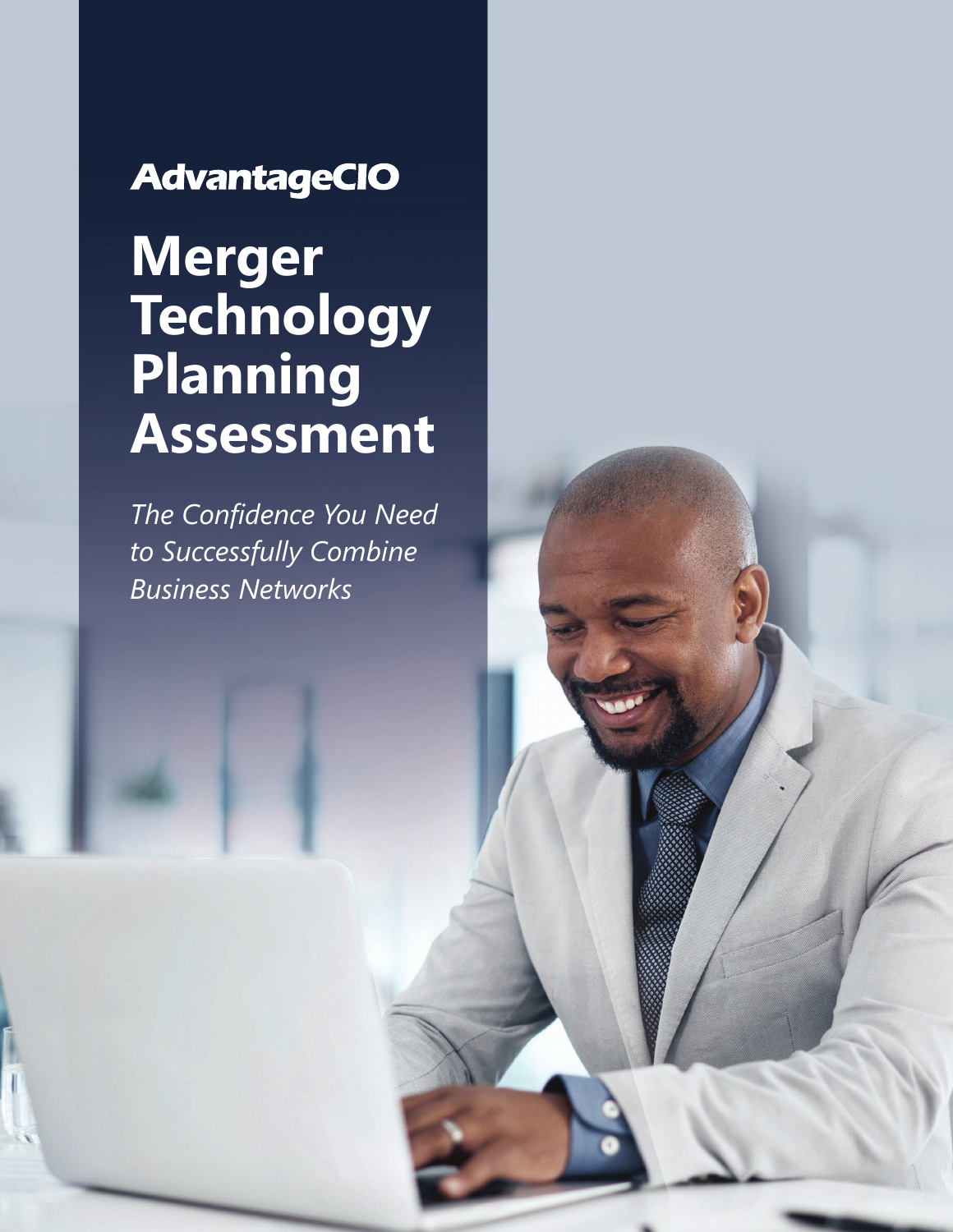## **AdvantageCIO**

# **Merger Technology Planning Assessment**

*The Confidence You Need to Successfully Combine Business Networks*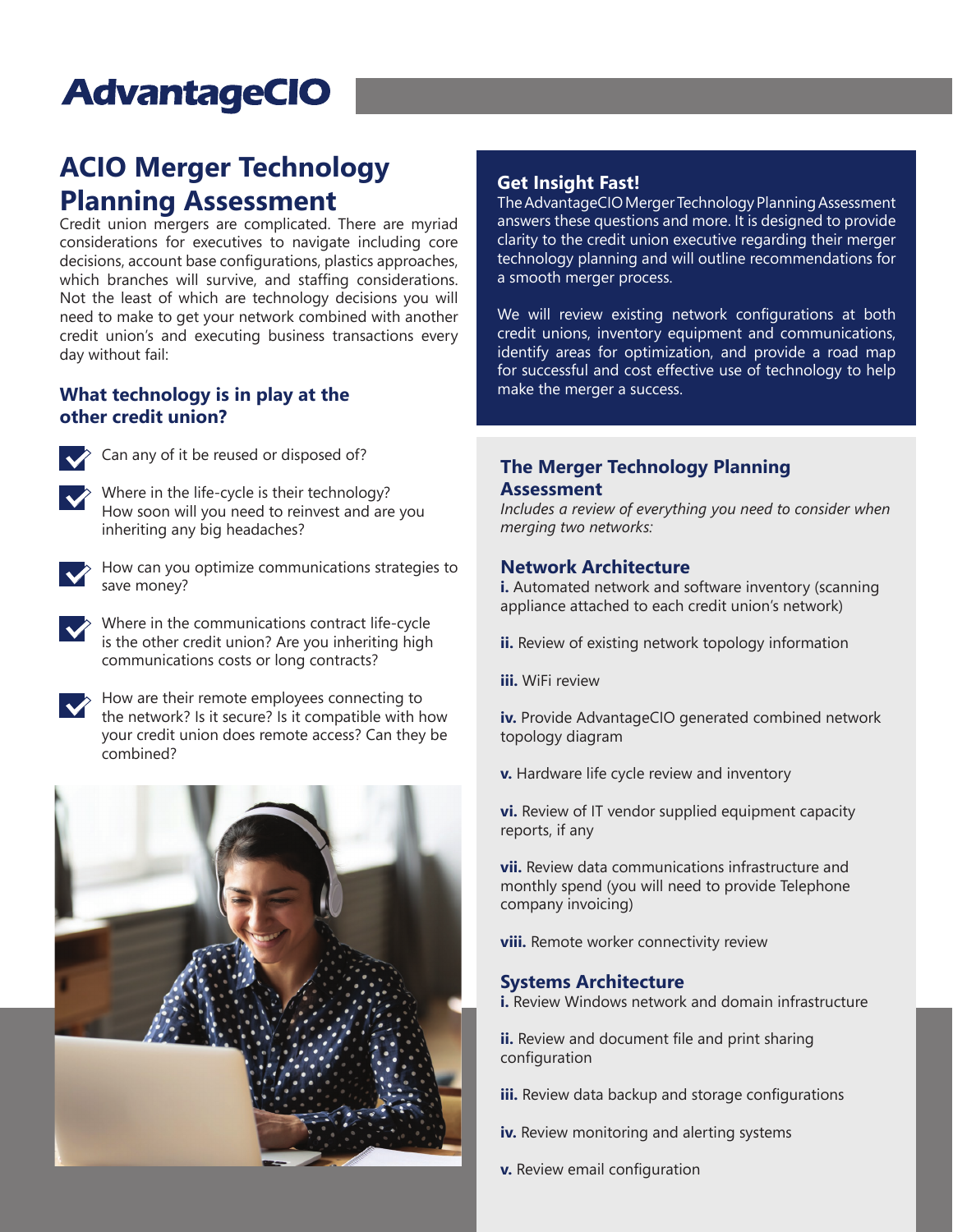## **AdvantageCIO**

## **ACIO Merger Technology Planning Assessment**

Credit union mergers are complicated. There are myriad considerations for executives to navigate including core decisions, account base configurations, plastics approaches, which branches will survive, and staffing considerations. Not the least of which are technology decisions you will need to make to get your network combined with another credit union's and executing business transactions every day without fail:

#### **What technology is in play at the other credit union?**



 $\leftrightarrow$  Can any of it be reused or disposed of?

Where in the life-cycle is their technology? How soon will you need to reinvest and are you inheriting any big headaches?



How can you optimize communications strategies to save money?



Where in the communications contract life-cycle is the other credit union? Are you inheriting high communications costs or long contracts?



How are their remote employees connecting to the network? Is it secure? Is it compatible with how your credit union does remote access? Can they be combined?



#### **Get Insight Fast!**

The AdvantageCIO Merger Technology Planning Assessment answers these questions and more. It is designed to provide clarity to the credit union executive regarding their merger technology planning and will outline recommendations for a smooth merger process.

We will review existing network configurations at both credit unions, inventory equipment and communications, identify areas for optimization, and provide a road map for successful and cost effective use of technology to help make the merger a success.

#### **The Merger Technology Planning Assessment**

*Includes a review of everything you need to consider when merging two networks:*

#### **Network Architecture**

**i.** Automated network and software inventory (scanning appliance attached to each credit union's network)

- **ii.** Review of existing network topology information
- **iii.** WiFi review

**iv.** Provide AdvantageCIO generated combined network topology diagram

**v.** Hardware life cycle review and inventory

**vi.** Review of IT vendor supplied equipment capacity reports, if any

**vii.** Review data communications infrastructure and monthly spend (you will need to provide Telephone company invoicing)

**viii.** Remote worker connectivity review

#### **Systems Architecture**

**i.** Review Windows network and domain infrastructure

**ii.** Review and document file and print sharing configuration

- **iii.** Review data backup and storage configurations
- **iv.** Review monitoring and alerting systems
- **v.** Review email configuration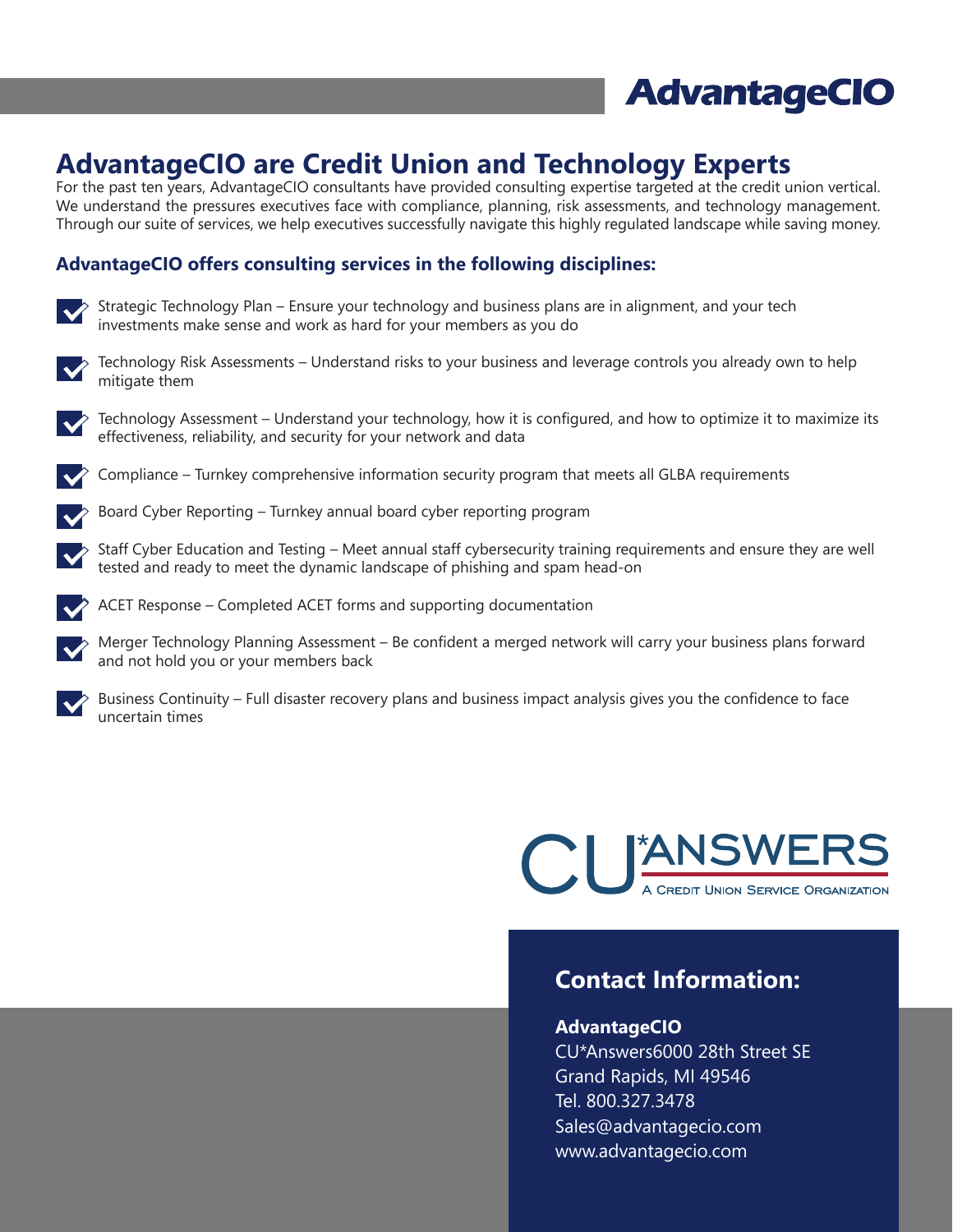

### **AdvantageCIO are Credit Union and Technology Experts**

For the past ten years, AdvantageCIO consultants have provided consulting expertise targeted at the credit union vertical. We understand the pressures executives face with compliance, planning, risk assessments, and technology management. Through our suite of services, we help executives successfully navigate this highly regulated landscape while saving money.

#### **AdvantageCIO offers consulting services in the following disciplines:**

Strategic Technology Plan – Ensure your technology and business plans are in alignment, and your tech investments make sense and work as hard for your members as you do



Technology Risk Assessments – Understand risks to your business and leverage controls you already own to help mitigate them



Technology Assessment – Understand your technology, how it is configured, and how to optimize it to maximize its effectiveness, reliability, and security for your network and data



Compliance – Turnkey comprehensive information security program that meets all GLBA requirements





Staff Cyber Education and Testing – Meet annual staff cybersecurity training requirements and ensure they are well tested and ready to meet the dynamic landscape of phishing and spam head-on



ACET Response – Completed ACET forms and supporting documentation

Merger Technology Planning Assessment – Be confident a merged network will carry your business plans forward and not hold you or your members back



Business Continuity – Full disaster recovery plans and business impact analysis gives you the confidence to face uncertain times



### **Contact Information:**

#### **AdvantageCIO**

CU\*Answers6000 28th Street SE Grand Rapids, MI 49546 Tel. 800.327.3478 Sales@advantagecio.com www.advantagecio.com